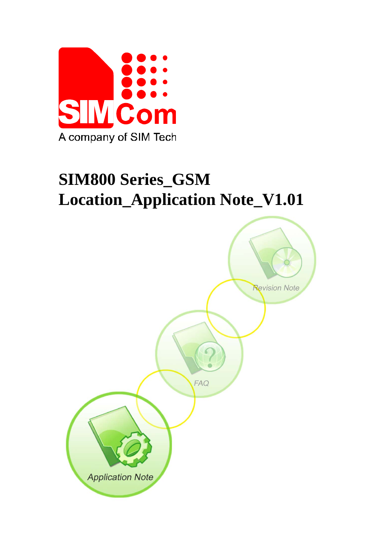

# **SIM800 Series\_GSM Location\_Application Note\_V1.01**

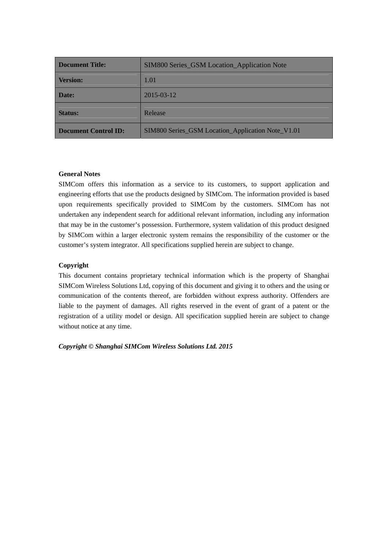| <b>Document Title:</b>      | <b>SIM800 Series_GSM Location_Application Note</b> |  |
|-----------------------------|----------------------------------------------------|--|
| <b>Version:</b>             | 1.01                                               |  |
| Date:                       | $2015 - 03 - 12$                                   |  |
| <b>Status:</b>              | Release                                            |  |
| <b>Document Control ID:</b> | SIM800 Series_GSM Location_Application Note_V1.01  |  |

#### **General Notes**

SIMCom offers this information as a service to its customers, to support application and engineering efforts that use the products designed by SIMCom. The information provided is based upon requirements specifically provided to SIMCom by the customers. SIMCom has not undertaken any independent search for additional relevant information, including any information that may be in the customer's possession. Furthermore, system validation of this product designed by SIMCom within a larger electronic system remains the responsibility of the customer or the customer's system integrator. All specifications supplied herein are subject to change.

#### **Copyright**

This document contains proprietary technical information which is the property of Shanghai SIMCom Wireless Solutions Ltd, copying of this document and giving it to others and the using or communication of the contents thereof, are forbidden without express authority. Offenders are liable to the payment of damages. All rights reserved in the event of grant of a patent or the registration of a utility model or design. All specification supplied herein are subject to change without notice at any time.

*Copyright © Shanghai SIMCom Wireless Solutions Ltd. 2015*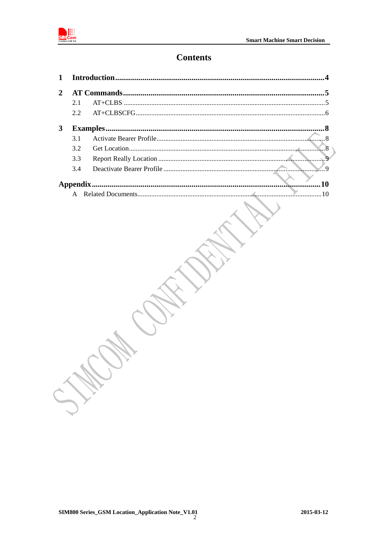

## **Contents**

| $\mathbf{2}$ |     |  |             |
|--------------|-----|--|-------------|
|              | 2.1 |  |             |
|              | 2.2 |  |             |
| 3            |     |  |             |
|              | 31  |  |             |
|              | 3.2 |  |             |
|              | 3.3 |  |             |
|              | 3.4 |  | $\mathbf Q$ |
|              |     |  |             |
|              |     |  |             |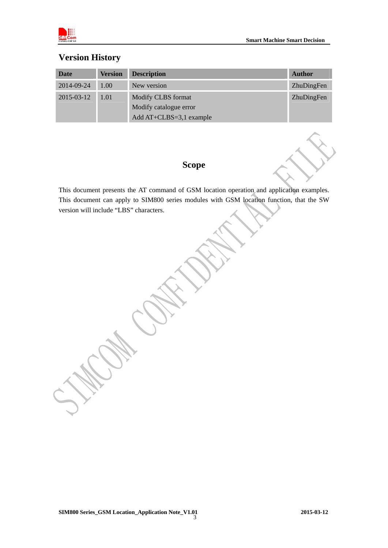

## **Version History**

| Date       | <b>Version</b> | <b>Description</b>      | <b>Author</b> |
|------------|----------------|-------------------------|---------------|
| 2014-09-24 | 1.00           | New version             | ZhuDingFen    |
| 2015-03-12 | 1.01           | Modify CLBS format      | ZhuDingFen    |
|            |                | Modify catalogue error  |               |
|            |                | Add AT+CLBS=3,1 example |               |

## **Scope**

This document presents the AT command of GSM location operation and application examples. This document can apply to SIM800 series modules with GSM location function, that the SW version will include "LBS" characters.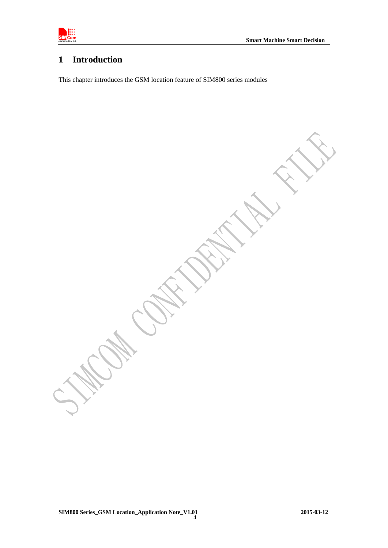

## **1 Introduction**

This chapter introduces the GSM location feature of SIM800 series modules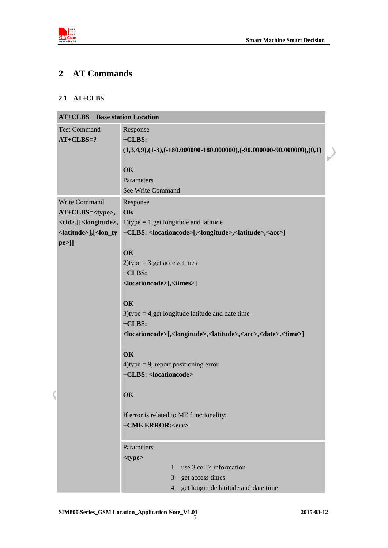

## **2 AT Commands**

#### **2.1 AT+CLBS**

| <b>AT+CLBS</b> Base station Location |                                                                                                                                  |  |  |
|--------------------------------------|----------------------------------------------------------------------------------------------------------------------------------|--|--|
| <b>Test Command</b>                  | Response                                                                                                                         |  |  |
| $AT+CLBS=?$                          | $+CLBS:$                                                                                                                         |  |  |
|                                      | $(1,3,4,9), (1-3), (-180.000000-180.000000), (-90.000000-90.000000), (0,1)$                                                      |  |  |
|                                      |                                                                                                                                  |  |  |
|                                      | OK                                                                                                                               |  |  |
|                                      | Parameters                                                                                                                       |  |  |
|                                      | See Write Command                                                                                                                |  |  |
| Write Command                        | Response                                                                                                                         |  |  |
| AT+CLBS= <type>,</type>              | OK                                                                                                                               |  |  |
|                                      | $\langle c \cdot id \rangle$ , [ $\langle$ longitude>, 1)type = 1, get longitude and latitude                                    |  |  |
|                                      | <latitude>],[<lon_ty +clbs:="" <locationcode="">[,<longitude>,<latitude>,<acc>]</acc></latitude></longitude></lon_ty></latitude> |  |  |
| $pe >$ ]]                            |                                                                                                                                  |  |  |
|                                      | OK                                                                                                                               |  |  |
|                                      | $2)$ type = 3,get access times                                                                                                   |  |  |
|                                      | $+CLBS:$                                                                                                                         |  |  |
|                                      | <locationcode>[,<times>]</times></locationcode>                                                                                  |  |  |
|                                      |                                                                                                                                  |  |  |
|                                      | OK                                                                                                                               |  |  |
|                                      | $3)$ type = 4,get longitude latitude and date time                                                                               |  |  |
|                                      | $+CLBS:$                                                                                                                         |  |  |
|                                      | <locationcode>[,<longitude>,<latitude>,<acc>,<date>,<time>]</time></date></acc></latitude></longitude></locationcode>            |  |  |
|                                      | OK                                                                                                                               |  |  |
|                                      | $4$ )type = 9, report positioning error                                                                                          |  |  |
|                                      | +CLBS: <locationcode></locationcode>                                                                                             |  |  |
|                                      |                                                                                                                                  |  |  |
|                                      | OK                                                                                                                               |  |  |
|                                      |                                                                                                                                  |  |  |
|                                      | If error is related to ME functionality:                                                                                         |  |  |
|                                      | +CME ERROR: <err></err>                                                                                                          |  |  |
|                                      |                                                                                                                                  |  |  |
|                                      | Parameters                                                                                                                       |  |  |
|                                      | <type></type>                                                                                                                    |  |  |
|                                      | use 3 cell's information<br>1                                                                                                    |  |  |
|                                      | get access times<br>3                                                                                                            |  |  |
|                                      | get longitude latitude and date time<br>$\overline{4}$                                                                           |  |  |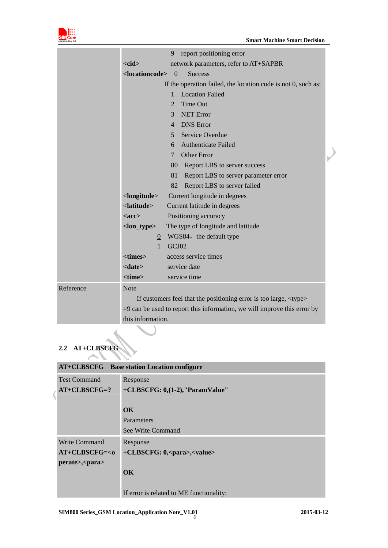

|           | report positioning error<br>9                                                  |  |
|-----------|--------------------------------------------------------------------------------|--|
|           | network parameters, refer to AT+SAPBR<br>$<$ cid $>$                           |  |
|           | <locationcode><br/><math>\overline{0}</math><br/><b>Success</b></locationcode> |  |
|           | If the operation failed, the location code is not 0, such as:                  |  |
|           | <b>Location Failed</b><br>1                                                    |  |
|           | Time Out<br>2                                                                  |  |
|           | <b>NET Error</b><br>3                                                          |  |
|           | <b>DNS</b> Error<br>$\overline{4}$                                             |  |
|           | Service Overdue<br>$5 -$                                                       |  |
|           | <b>Authenticate Failed</b><br>6                                                |  |
|           | <b>Other Error</b><br>7                                                        |  |
|           | Report LBS to server success<br>80                                             |  |
|           | 81<br>Report LBS to server parameter error                                     |  |
|           | Report LBS to server failed<br>82                                              |  |
|           | <longitude><br/>Current longitude in degrees</longitude>                       |  |
|           | $\langle$ latitude $\rangle$<br>Current latitude in degrees                    |  |
|           | Positioning accuracy<br>$<$ acc $>$                                            |  |
|           | $lon_type>$<br>The type of longitude and latitude                              |  |
|           | $\underline{0}$ WGS84, the default type                                        |  |
|           | GCJ02<br>$\mathbf{1}$                                                          |  |
|           | <times><br/>access service times</times>                                       |  |
|           | <date><br/>service date</date>                                                 |  |
|           | <time><br/>service time</time>                                                 |  |
| Reference | <b>Note</b>                                                                    |  |
|           | If customers feel that the positioning error is too large, <type></type>       |  |
|           | $=$ 9 can be used to report this information, we will improve this error by    |  |
|           | this information.                                                              |  |

#### **2.2 AT+CLBSCFG**  ╲

| <b>AT+CLBSCFG</b> Base station Location configure |                                            |  |
|---------------------------------------------------|--------------------------------------------|--|
| <b>Test Command</b>                               | Response                                   |  |
| $AT+CLBSCFG=?$                                    | +CLBSCFG: 0,(1-2),"ParamValue"             |  |
|                                                   |                                            |  |
| OK                                                |                                            |  |
|                                                   | Parameters                                 |  |
|                                                   | See Write Command                          |  |
| <b>Write Command</b>                              | Response                                   |  |
| $AT+CLBSCFG=<0$                                   | +CLBSCFG: 0, <para>,<value></value></para> |  |
| perate>, <para></para>                            |                                            |  |
|                                                   | OK                                         |  |
|                                                   |                                            |  |
|                                                   | If error is related to ME functionality:   |  |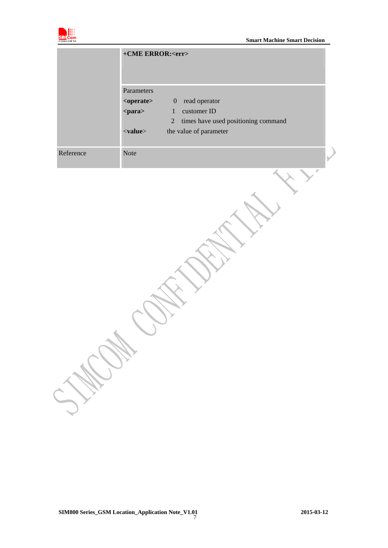

|           | +CME ERROR: <err></err>                                                                                                                                                                                                                                                                                          |
|-----------|------------------------------------------------------------------------------------------------------------------------------------------------------------------------------------------------------------------------------------------------------------------------------------------------------------------|
|           | Parameters<br>read operator<br><operate><br/><math>\boldsymbol{0}</math><br/>customer ID<br/><para><br/><math>\mathbf{1}</math><br/><math display="inline">\sqrt{2}</math><br/>times have used positioning command<br/>the value of parameter<br/><math>\langle</math>value<math>\rangle</math></para></operate> |
| Reference | Note                                                                                                                                                                                                                                                                                                             |
|           |                                                                                                                                                                                                                                                                                                                  |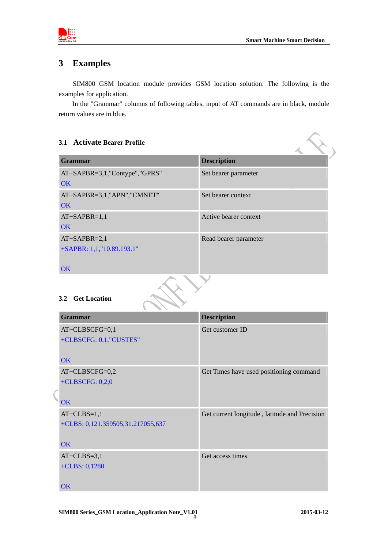

#### **3 Examples**

SIM800 GSM location module provides GSM location solution. The following is the examples for application.

In the "Grammar" columns of following tables, input of AT commands are in black, module return values are in blue.

## **3.1 Activate Bearer Profile Grammar Description**  AT+SAPBR=3,1,"Contype","GPRS" **OK** Set bearer parameter AT+SAPBR=3,1,"APN","CMNET" **OK** Set bearer context AT+SAPBR=1,1  $\overline{OK}$ Active bearer context AT+SAPBR=2,1 +SAPBR: 1,1,"10.89.193.1" **OK** Read bearer parameter **3.2 Get Location Grammar** Description **Description** AT+CLBSCFG=0,1 +CLBSCFG: 0,1,"CUSTES" **OK** Get customer ID AT+CLBSCFG=0,2 +CLBSCFG: 0,2,0 **OK** Get Times have used positioning command AT+CLBS=1,1 +CLBS: 0,121.359505,31.217055,637 **OK** Get current longitude , latitude and Precision

Get access times

 $AT+CLBS=3,1$ +CLBS: 0,1280

**OK**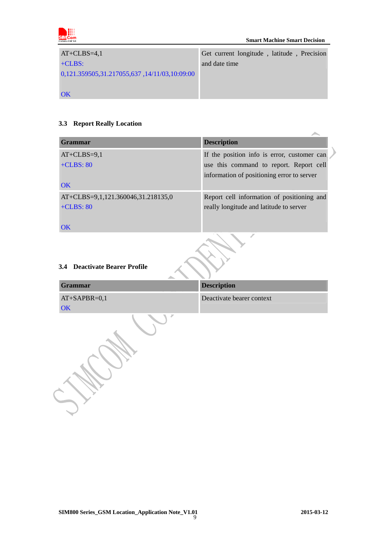

| $AT+CLBS=4,1$                                | Get current longitude, latitude, Precision |
|----------------------------------------------|--------------------------------------------|
| $+CLBS:$                                     | and date time                              |
| 0,121.359505,31.217055,637,14/11/03,10:09:00 |                                            |
|                                              |                                            |
| <b>OK</b>                                    |                                            |

#### **3.3 Report Really Location**

| <b>Grammar</b>                     | <b>Description</b>                          |  |
|------------------------------------|---------------------------------------------|--|
| $AT+CLBS=9,1$                      | If the position info is error, customer can |  |
| $+CLBS: 80$                        | use this command to report. Report cell     |  |
|                                    | information of positioning error to server  |  |
| <b>OK</b>                          |                                             |  |
| AT+CLBS=9,1,121.360046,31.218135,0 | Report cell information of positioning and  |  |
| $+CLBS: 80$                        | really longitude and latitude to server     |  |
|                                    |                                             |  |
| $\overline{\text{OK}}$             |                                             |  |

#### **3.4 Deactivate Bearer Profile**

| Grammar        | <b>Description</b>        |  |  |
|----------------|---------------------------|--|--|
| $AT+SAPBR=0,1$ | Deactivate bearer context |  |  |
| OK             |                           |  |  |
|                |                           |  |  |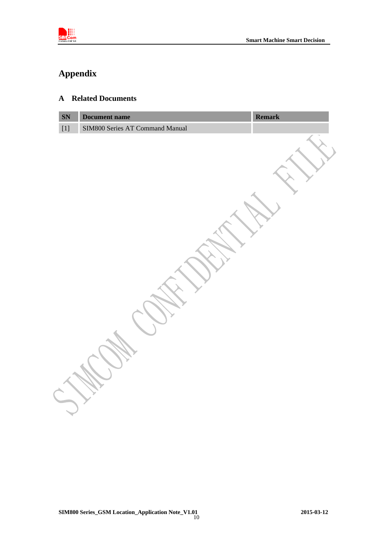

## **Appendix**

### **A Related Documents**

| SN               | Document name                   | Remark |
|------------------|---------------------------------|--------|
| $\left[1\right]$ | SIM800 Series AT Command Manual |        |
|                  |                                 |        |
|                  |                                 |        |